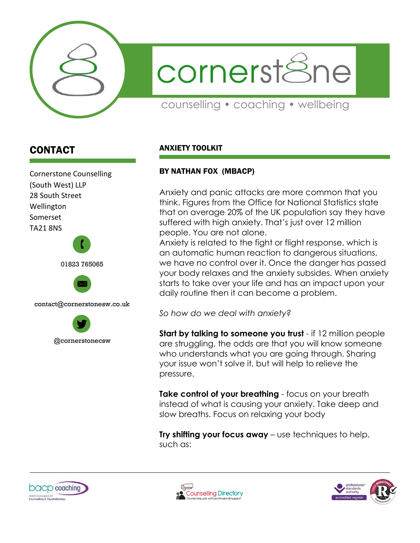

cornerst<sup>8</sup>ne

counselling • coaching • wellbeing

## CONTACT

Cornerstone Counselling (South West) LLP 28 South Street Wellington Somerset TA21 8NS





## ANXIETY TOOLKIT

## BY NATHAN FOX (MBACP)

Anxiety and panic attacks are more common that you think. Figures from the Office for National Statistics state that on average 20% of the UK population say they have suffered with high anxiety. That's just over 12 million people. You are not alone.

Anxiety is related to the fight or flight response, which is an automatic human reaction to dangerous situations, we have no control over it. Once the danger has passed your body relaxes and the anxiety subsides. When anxiety starts to take over your life and has an impact upon your daily routine then it can become a problem.

*So how do we deal with anxiety?*

**Start by talking to someone you trust** - if 12 million people are struggling, the odds are that you will know someone who understands what you are going through. Sharing your issue won't solve it, but will help to relieve the pressure.

**Take control of your breathing** - focus on your breath instead of what is causing your anxiety. Take deep and slow breaths. Focus on relaxing your body

**Try shifting your focus away** – use techniques to help, such as:





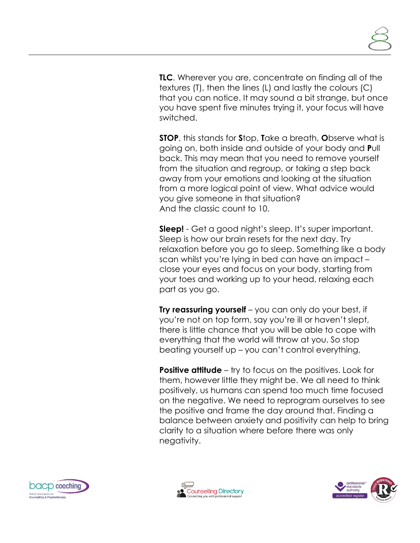**TLC**. Wherever you are, concentrate on finding all of the textures (T), then the lines (L) and lastly the colours (C) that you can notice. It may sound a bit strange, but once you have spent five minutes trying it, your focus will have switched.

**STOP**, this stands for **S**top, **T**ake a breath, **O**bserve what is going on, both inside and outside of your body and **P**ull back. This may mean that you need to remove yourself from the situation and regroup, or taking a step back away from your emotions and looking at the situation from a more logical point of view. What advice would you give someone in that situation? And the classic count to 10.

**Sleep!** - Get a good night's sleep. It's super important. Sleep is how our brain resets for the next day. Try relaxation before you go to sleep. Something like a body scan whilst you're lying in bed can have an impact – close your eyes and focus on your body, starting from your toes and working up to your head, relaxing each part as you go.

**Try reassuring yourself** – you can only do your best, if you're not on top form, say you're ill or haven't slept, there is little chance that you will be able to cope with everything that the world will throw at you. So stop beating yourself up – you can't control everything.

**Positive attitude** – try to focus on the positives. Look for them, however little they might be. We all need to think positively, us humans can spend too much time focused on the negative. We need to reprogram ourselves to see the positive and frame the day around that. Finding a balance between anxiety and positivity can help to bring clarity to a situation where before there was only negativity.